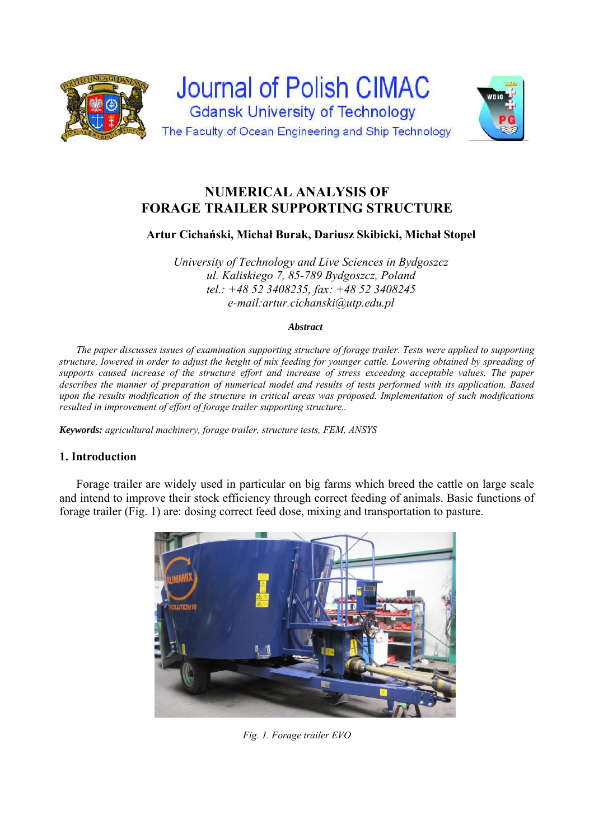



# **NUMERICAL ANALYSIS OF FORAGE TRAILER SUPPORTING STRUCTURE**

**Artur Cichański, Michał Burak, Dariusz Skibicki, Michał Stopel** 

*University of Technology and Live Sciences in Bydgoszcz ul. Kaliskiego 7, 85-789 Bydgoszcz, Poland tel.: +48 52 3408235, fax: +48 52 3408245 e-mail:artur.cichanski@utp.edu.pl* 

#### *Abstract*

*The paper discusses issues of examination supporting structure of forage trailer. Tests were applied to supporting structure, lowered in order to adjust the height of mix feeding for younger cattle. Lowering obtained by spreading of supports caused increase of the structure effort and increase of stress exceeding acceptable values. The paper describes the manner of preparation of numerical model and results of tests performed with its application. Based upon the results modification of the structure in critical areas was proposed. Implementation of such modifications resulted in improvement of effort of forage trailer supporting structure..*

*Keywords: agricultural machinery, forage trailer, structure tests, FEM, ANSYS*

# **1. Introduction**

Forage trailer are widely used in particular on big farms which breed the cattle on large scale and intend to improve their stock efficiency through correct feeding of animals. Basic functions of forage trailer (Fig. 1) are: dosing correct feed dose, mixing and transportation to pasture.



*Fig. 1. Forage trailer EVO*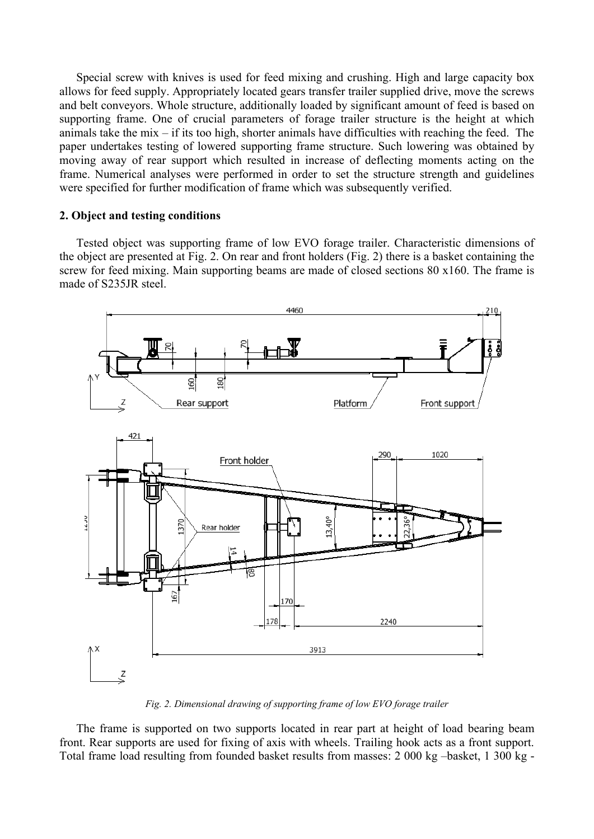Special screw with knives is used for feed mixing and crushing. High and large capacity box allows for feed supply. Appropriately located gears transfer trailer supplied drive, move the screws and belt conveyors. Whole structure, additionally loaded by significant amount of feed is based on supporting frame. One of crucial parameters of forage trailer structure is the height at which animals take the mix – if its too high, shorter animals have difficulties with reaching the feed. The paper undertakes testing of lowered supporting frame structure. Such lowering was obtained by moving away of rear support which resulted in increase of deflecting moments acting on the frame. Numerical analyses were performed in order to set the structure strength and guidelines were specified for further modification of frame which was subsequently verified.

## **2. Object and testing conditions**

Tested object was supporting frame of low EVO forage trailer. Characteristic dimensions of the object are presented at Fig. 2. On rear and front holders (Fig. 2) there is a basket containing the screw for feed mixing. Main supporting beams are made of closed sections 80 x160. The frame is made of S235JR steel.



*Fig. 2. Dimensional drawing of supporting frame of low EVO forage trailer* 

The frame is supported on two supports located in rear part at height of load bearing beam front. Rear supports are used for fixing of axis with wheels. Trailing hook acts as a front support. Total frame load resulting from founded basket results from masses: 2 000 kg –basket, 1 300 kg -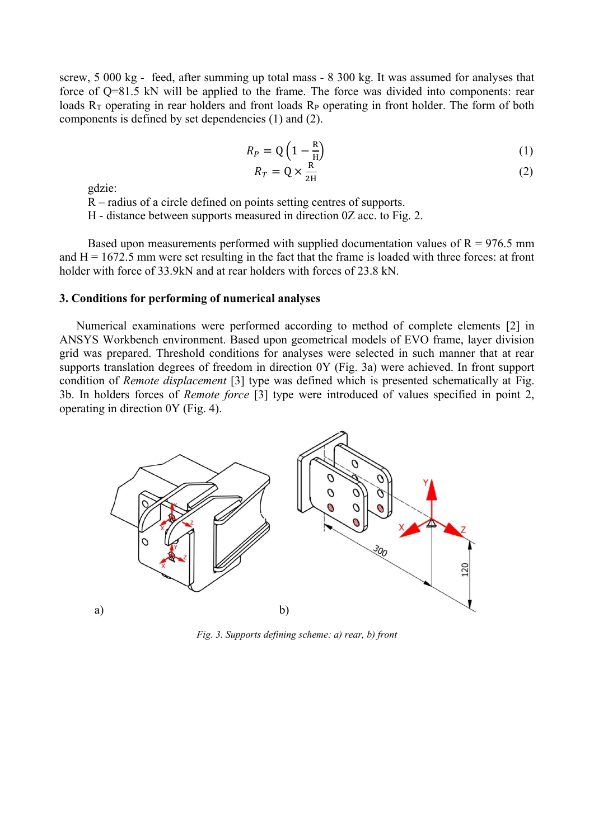screw, 5 000 kg - feed, after summing up total mass - 8 300 kg. It was assumed for analyses that force of Q=81.5 kN will be applied to the frame. The force was divided into components: rear loads  $R_T$  operating in rear holders and front loads  $R_P$  operating in front holder. The form of both components is defined by set dependencies (1) and (2).

$$
R_P = Q\left(1 - \frac{R}{H}\right) \tag{1}
$$

$$
R_T = Q \times \frac{R}{2H} \tag{2}
$$

gdzie:

R – radius of a circle defined on points setting centres of supports.

H - distance between supports measured in direction 0Z acc. to Fig. 2.

Based upon measurements performed with supplied documentation values of  $R = 976.5$  mm and  $H = 1672.5$  mm were set resulting in the fact that the frame is loaded with three forces: at front holder with force of 33.9kN and at rear holders with forces of 23.8 kN.

#### **3. Conditions for performing of numerical analyses**

Numerical examinations were performed according to method of complete elements [2] in ANSYS Workbench environment. Based upon geometrical models of EVO frame, layer division grid was prepared. Threshold conditions for analyses were selected in such manner that at rear supports translation degrees of freedom in direction 0Y (Fig. 3a) were achieved. In front support condition of *Remote displacement* [3] type was defined which is presented schematically at Fig. 3b. In holders forces of *Remote force* [3] type were introduced of values specified in point 2, operating in direction 0Y (Fig. 4).



*Fig. 3. Supports defining scheme: a) rear, b) front*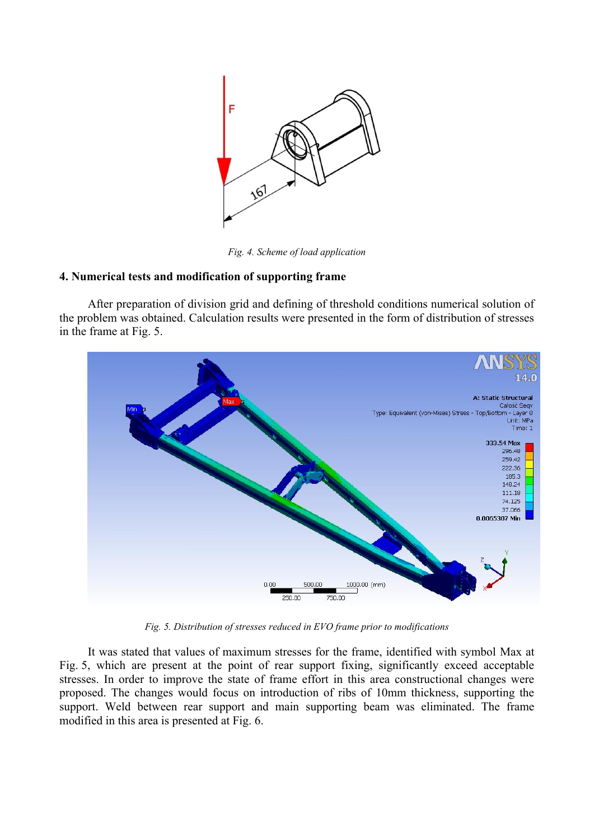

*Fig. 4. Scheme of load application* 

## **4. Numerical tests and modification of supporting frame**

After preparation of division grid and defining of threshold conditions numerical solution of the problem was obtained. Calculation results were presented in the form of distribution of stresses in the frame at Fig. 5.



*Fig. 5. Distribution of stresses reduced in EVO frame prior to modifications* 

It was stated that values of maximum stresses for the frame, identified with symbol Max at Fig. 5, which are present at the point of rear support fixing, significantly exceed acceptable stresses. In order to improve the state of frame effort in this area constructional changes were proposed. The changes would focus on introduction of ribs of 10mm thickness, supporting the support. Weld between rear support and main supporting beam was eliminated. The frame modified in this area is presented at Fig. 6.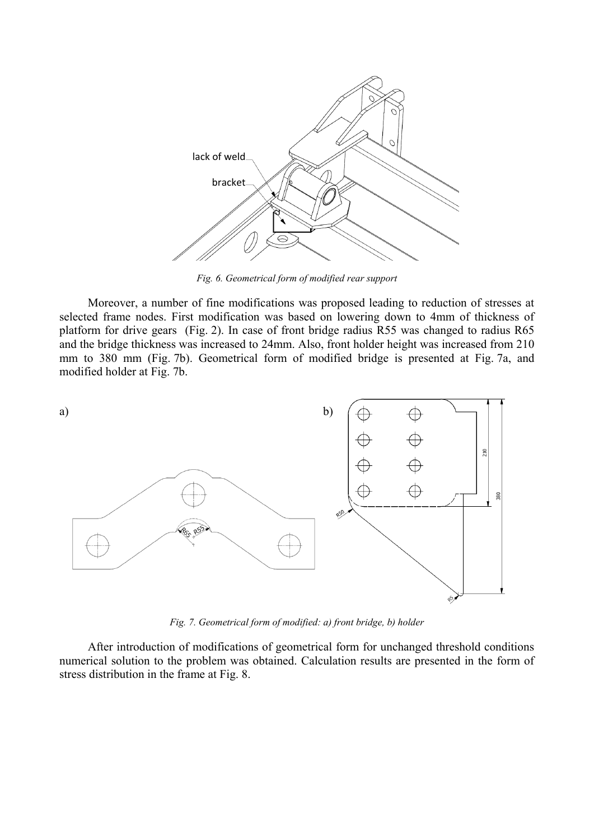

*Fig. 6. Geometrical form of modified rear support* 

Moreover, a number of fine modifications was proposed leading to reduction of stresses at selected frame nodes. First modification was based on lowering down to 4mm of thickness of platform for drive gears (Fig. 2). In case of front bridge radius R55 was changed to radius R65 and the bridge thickness was increased to 24mm. Also, front holder height was increased from 210 mm to 380 mm (Fig. 7b). Geometrical form of modified bridge is presented at Fig. 7a, and modified holder at Fig. 7b.



*Fig. 7. Geometrical form of modified: a) front bridge, b) holder* 

After introduction of modifications of geometrical form for unchanged threshold conditions numerical solution to the problem was obtained. Calculation results are presented in the form of stress distribution in the frame at Fig. 8.